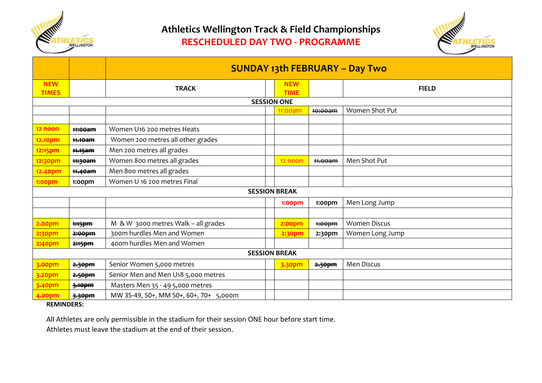

## **Athletics Wellington Track & Field Championships RESCHEDULED DAY TWO - PROGRAMME**



|                            |                    | <b>SUNDAY 13th FEBRUARY - Day Two</b>  |  |                           |                    |                     |
|----------------------------|--------------------|----------------------------------------|--|---------------------------|--------------------|---------------------|
| <b>NEW</b><br><b>TIMES</b> |                    | <b>TRACK</b>                           |  | <b>NEW</b><br><b>TIME</b> |                    | <b>FIELD</b>        |
| <b>SESSION ONE</b>         |                    |                                        |  |                           |                    |                     |
|                            |                    |                                        |  | 11:00am                   | <del>10:00am</del> | Women Shot Put      |
|                            |                    |                                        |  |                           |                    |                     |
| 12 noon                    | <del>11:00am</del> | Women U16 200 metres Heats             |  |                           |                    |                     |
| 12.10pm                    | <del>11.10am</del> | Women 200 metres all other grades      |  |                           |                    |                     |
| 12:15pm                    | <del>11.15am</del> | Men 200 metres all grades              |  |                           |                    |                     |
| 12:30pm                    | <del>11:30am</del> | Women 800 metres all grades            |  | 12 noon                   | <del>11.00am</del> | Men Shot Put        |
| 12.40pm                    | <del>11.40am</del> | Men 800 metres all grades              |  |                           |                    |                     |
| 1:00pm                     | 1:00pm             | Women U 16 200 metres Final            |  |                           |                    |                     |
| <b>SESSION BREAK</b>       |                    |                                        |  |                           |                    |                     |
|                            |                    |                                        |  | 1:00pm                    | 1:00 <sub>pm</sub> | Men Long Jump       |
|                            |                    |                                        |  |                           |                    |                     |
| <b>2.00pm</b>              | # <del>15pm</del>  | M & W 3000 metres Walk - all grades    |  | <b>2:00pm</b>             | #00pm              | <b>Women Discus</b> |
| 2:30pm                     | 2:00pm             | 300m hurdles Men and Women             |  | <b>2:30pm</b>             | 2:30pm             | Women Long Jump     |
| 2:40pm                     | 2:15pm             | 400m hurdles Men and Women             |  |                           |                    |                     |
| <b>SESSION BREAK</b>       |                    |                                        |  |                           |                    |                     |
| 3.00pm                     | 2.30pm             | Senior Women 5,000 metres              |  | 3.30pm                    | 2.30pm             | Men Discus          |
| 3.20pm                     | 2.50pm             | Senior Men and Men U18 5,000 metres    |  |                           |                    |                     |
| 3.40pm                     | 3.10pm             | Masters Men 35 - 49 5,000 metres       |  |                           |                    |                     |
| 4.00pm                     | 3.30pm             | MW 35-49, 50+, MM 50+, 60+, 70+ 5,000m |  |                           |                    |                     |

**REMINDERS:**

All Athletes are only permissible in the stadium for their session ONE hour before start time.

Athletes must leave the stadium at the end of their session.